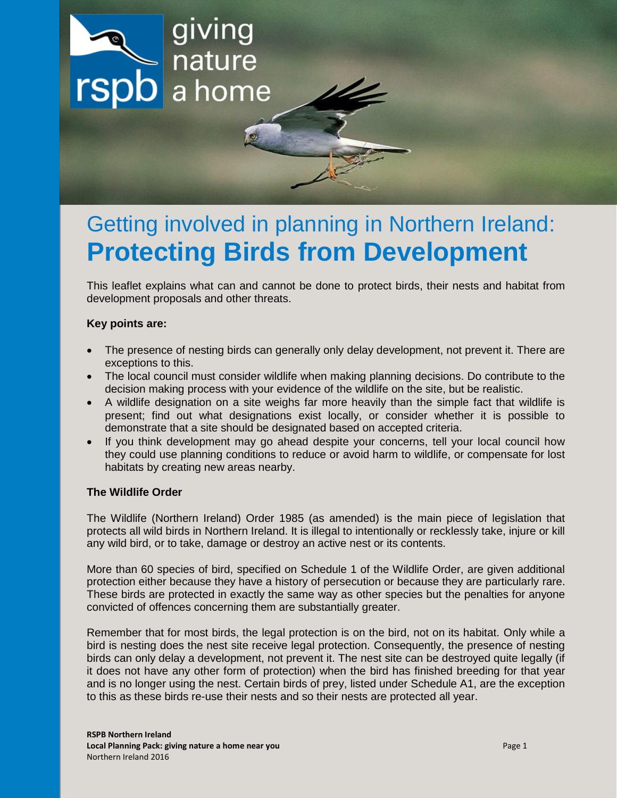

# Getting involved in planning in Northern Ireland: **Protecting Birds from Development**

This leaflet explains what can and cannot be done to protect birds, their nests and habitat from development proposals and other threats.

## **Key points are:**

- The presence of nesting birds can generally only delay development, not prevent it. There are exceptions to this.
- The local council must consider wildlife when making planning decisions. Do contribute to the decision making process with your evidence of the wildlife on the site, but be realistic.
- A wildlife designation on a site weighs far more heavily than the simple fact that wildlife is present; find out what designations exist locally, or consider whether it is possible to demonstrate that a site should be designated based on accepted criteria.
- If you think development may go ahead despite your concerns, tell your local council how they could use planning conditions to reduce or avoid harm to wildlife, or compensate for lost habitats by creating new areas nearby.

### **The Wildlife Order**

The Wildlife (Northern Ireland) Order 1985 (as amended) is the main piece of legislation that protects all wild birds in Northern Ireland. It is illegal to intentionally or recklessly take, injure or kill any wild bird, or to take, damage or destroy an active nest or its contents.

More than 60 species of bird, specified on Schedule 1 of the Wildlife Order, are given additional protection either because they have a history of persecution or because they are particularly rare. These birds are protected in exactly the same way as other species but the penalties for anyone convicted of offences concerning them are substantially greater.

Remember that for most birds, the legal protection is on the bird, not on its habitat. Only while a bird is nesting does the nest site receive legal protection. Consequently, the presence of nesting birds can only delay a development, not prevent it. The nest site can be destroyed quite legally (if it does not have any other form of protection) when the bird has finished breeding for that year and is no longer using the nest. Certain birds of prey, listed under Schedule A1, are the exception to this as these birds re-use their nests and so their nests are protected all year.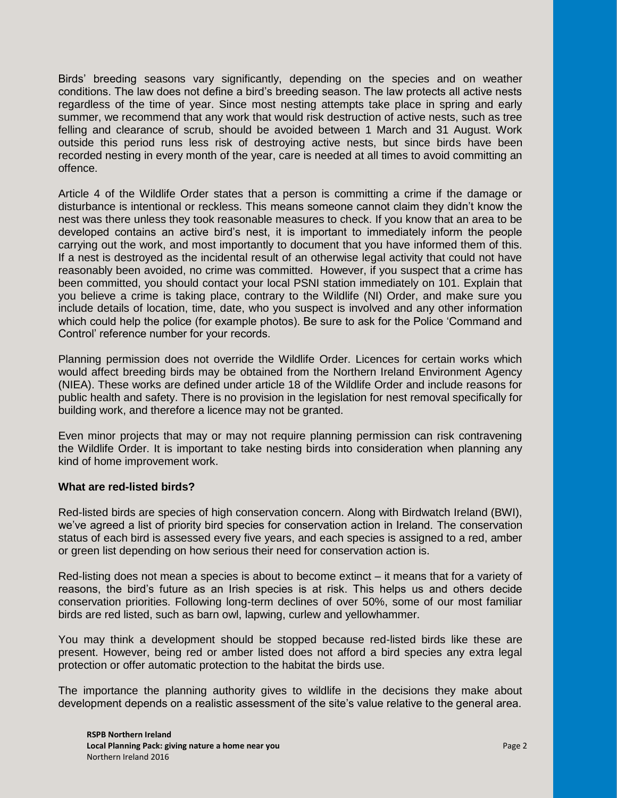Birds' breeding seasons vary significantly, depending on the species and on weather conditions. The law does not define a bird's breeding season. The law protects all active nests regardless of the time of year. Since most nesting attempts take place in spring and early summer, we recommend that any work that would risk destruction of active nests, such as tree felling and clearance of scrub, should be avoided between 1 March and 31 August. Work outside this period runs less risk of destroying active nests, but since birds have been recorded nesting in every month of the year, care is needed at all times to avoid committing an offence.

Article 4 of the Wildlife Order states that a person is committing a crime if the damage or disturbance is intentional or reckless. This means someone cannot claim they didn't know the nest was there unless they took reasonable measures to check. If you know that an area to be developed contains an active bird's nest, it is important to immediately inform the people carrying out the work, and most importantly to document that you have informed them of this. If a nest is destroyed as the incidental result of an otherwise legal activity that could not have reasonably been avoided, no crime was committed. However, if you suspect that a crime has been committed, you should contact your local PSNI station immediately on 101. Explain that you believe a crime is taking place, contrary to the Wildlife (NI) Order, and make sure you include details of location, time, date, who you suspect is involved and any other information which could help the police (for example photos). Be sure to ask for the Police 'Command and Control' reference number for your records.

Planning permission does not override the Wildlife Order. Licences for certain works which would affect breeding birds may be obtained from the Northern Ireland Environment Agency (NIEA). These works are defined under article 18 of the Wildlife Order and include reasons for public health and safety. There is no provision in the legislation for nest removal specifically for building work, and therefore a licence may not be granted.

Even minor projects that may or may not require planning permission can risk contravening the Wildlife Order. It is important to take nesting birds into consideration when planning any kind of home improvement work.

### **What are red-listed birds?**

Red-listed birds are species of high conservation concern. Along with Birdwatch Ireland (BWI), we've agreed a list of priority bird species for conservation action in Ireland. The conservation status of each bird is assessed every five years, and each species is assigned to a red, amber or green list depending on how serious their need for conservation action is.

Red-listing does not mean a species is about to become extinct – it means that for a variety of reasons, the bird's future as an Irish species is at risk. This helps us and others decide conservation priorities. Following long-term declines of over 50%, some of our most familiar birds are red listed, such as barn owl, lapwing, curlew and yellowhammer.

You may think a development should be stopped because red-listed birds like these are present. However, being red or amber listed does not afford a bird species any extra legal protection or offer automatic protection to the habitat the birds use.

The importance the planning authority gives to wildlife in the decisions they make about development depends on a realistic assessment of the site's value relative to the general area.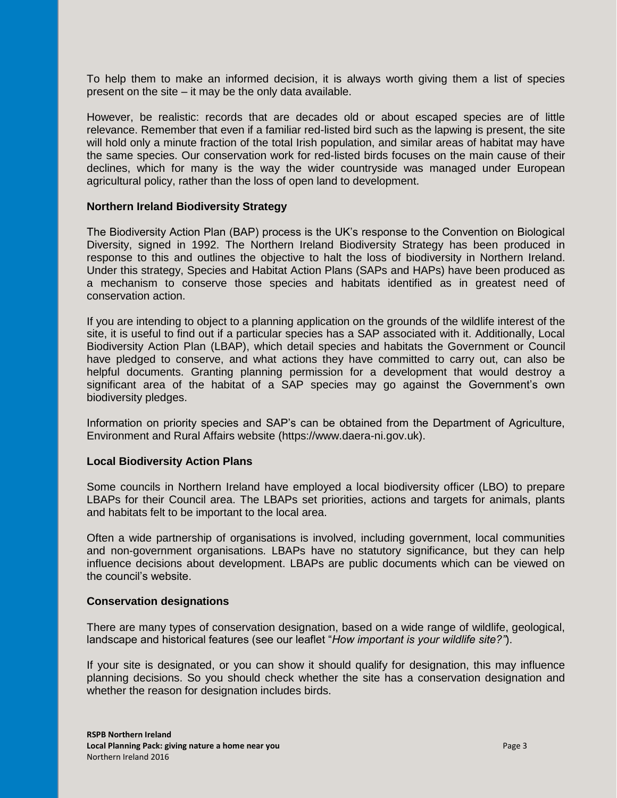To help them to make an informed decision, it is always worth giving them a list of species present on the site – it may be the only data available.

However, be realistic: records that are decades old or about escaped species are of little relevance. Remember that even if a familiar red-listed bird such as the lapwing is present, the site will hold only a minute fraction of the total Irish population, and similar areas of habitat may have the same species. Our conservation work for red-listed birds focuses on the main cause of their declines, which for many is the way the wider countryside was managed under European agricultural policy, rather than the loss of open land to development.

### **Northern Ireland Biodiversity Strategy**

The Biodiversity Action Plan (BAP) process is the UK's response to the Convention on Biological Diversity, signed in 1992. The Northern Ireland Biodiversity Strategy has been produced in response to this and outlines the objective to halt the loss of biodiversity in Northern Ireland. Under this strategy, Species and Habitat Action Plans (SAPs and HAPs) have been produced as a mechanism to conserve those species and habitats identified as in greatest need of conservation action.

If you are intending to object to a planning application on the grounds of the wildlife interest of the site, it is useful to find out if a particular species has a SAP associated with it. Additionally, Local Biodiversity Action Plan (LBAP), which detail species and habitats the Government or Council have pledged to conserve, and what actions they have committed to carry out, can also be helpful documents. Granting planning permission for a development that would destroy a significant area of the habitat of a SAP species may go against the Government's own biodiversity pledges.

Information on priority species and SAP's can be obtained from the Department of Agriculture, Environment and Rural Affairs website (https://www.daera-ni.gov.uk).

### **Local Biodiversity Action Plans**

Some councils in Northern Ireland have employed a local biodiversity officer (LBO) to prepare LBAPs for their Council area. The LBAPs set priorities, actions and targets for animals, plants and habitats felt to be important to the local area.

Often a wide partnership of organisations is involved, including government, local communities and non-government organisations. LBAPs have no statutory significance, but they can help influence decisions about development. LBAPs are public documents which can be viewed on the council's website.

#### **Conservation designations**

There are many types of conservation designation, based on a wide range of wildlife, geological, landscape and historical features (see our leaflet "*How important is your wildlife site?"*).

If your site is designated, or you can show it should qualify for designation, this may influence planning decisions. So you should check whether the site has a conservation designation and whether the reason for designation includes birds.